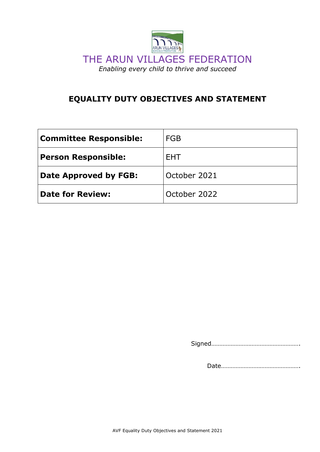

# **EQUALITY DUTY OBJECTIVES AND STATEMENT**

| <b>Committee Responsible:</b> | <b>FGB</b>   |
|-------------------------------|--------------|
| <b>Person Responsible:</b>    | <b>FHT</b>   |
| Date Approved by FGB:         | October 2021 |
| <b>Date for Review:</b>       | October 2022 |

Signed……………………………………………….

Date………………………………………….

AVF Equality Duty Objectives and Statement 2021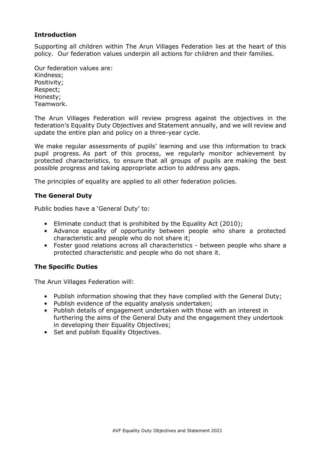### **Introduction**

Supporting all children within The Arun Villages Federation lies at the heart of this policy. Our federation values underpin all actions for children and their families.

Our federation values are: Kindness; Positivity; Respect; Honesty; Teamwork.

The Arun Villages Federation will review progress against the objectives in the federation's Equality Duty Objectives and Statement annually, and we will review and update the entire plan and policy on a three-year cycle.

We make regular assessments of pupils' learning and use this information to track pupil progress. As part of this process, we regularly monitor achievement by protected characteristics, to ensure that all groups of pupils are making the best possible progress and taking appropriate action to address any gaps.

The principles of equality are applied to all other federation policies.

### **The General Duty**

Public bodies have a 'General Duty' to:

- Eliminate conduct that is prohibited by the Equality Act (2010);
- Advance equality of opportunity between people who share a protected characteristic and people who do not share it;
- Foster good relations across all characteristics between people who share a protected characteristic and people who do not share it.

### **The Specific Duties**

The Arun Villages Federation will:

- Publish information showing that they have complied with the General Duty;
- Publish evidence of the equality analysis undertaken;
- Publish details of engagement undertaken with those with an interest in furthering the aims of the General Duty and the engagement they undertook in developing their Equality Objectives;
- Set and publish Equality Objectives.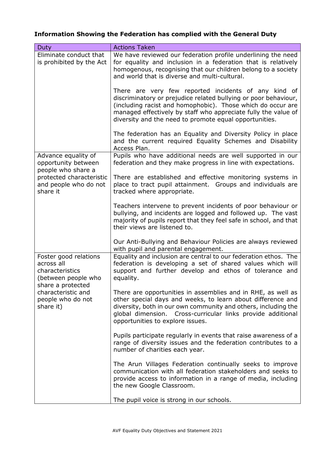### **Information Showing the Federation has complied with the General Duty**

| <b>Duty</b>                                                                                                                                                | <b>Actions Taken</b>                                                                                                                                                                                                                                                                                               |
|------------------------------------------------------------------------------------------------------------------------------------------------------------|--------------------------------------------------------------------------------------------------------------------------------------------------------------------------------------------------------------------------------------------------------------------------------------------------------------------|
| Eliminate conduct that<br>is prohibited by the Act                                                                                                         | We have reviewed our federation profile underlining the need<br>for equality and inclusion in a federation that is relatively<br>homogenous, recognising that our children belong to a society<br>and world that is diverse and multi-cultural.                                                                    |
|                                                                                                                                                            | There are very few reported incidents of any kind of<br>discriminatory or prejudice related bullying or poor behaviour,<br>(including racist and homophobic). Those which do occur are<br>managed effectively by staff who appreciate fully the value of<br>diversity and the need to promote equal opportunities. |
|                                                                                                                                                            | The federation has an Equality and Diversity Policy in place<br>and the current required Equality Schemes and Disability<br>Access Plan.                                                                                                                                                                           |
| Advance equality of<br>opportunity between<br>people who share a<br>protected characteristic<br>and people who do not<br>share it                          | Pupils who have additional needs are well supported in our<br>federation and they make progress in line with expectations.                                                                                                                                                                                         |
|                                                                                                                                                            | There are established and effective monitoring systems in<br>place to tract pupil attainment. Groups and individuals are<br>tracked where appropriate.                                                                                                                                                             |
|                                                                                                                                                            | Teachers intervene to prevent incidents of poor behaviour or<br>bullying, and incidents are logged and followed up. The vast<br>majority of pupils report that they feel safe in school, and that<br>their views are listened to.                                                                                  |
|                                                                                                                                                            | Our Anti-Bullying and Behaviour Policies are always reviewed<br>with pupil and parental engagement.                                                                                                                                                                                                                |
| Foster good relations<br>across all<br>characteristics<br>(between people who<br>share a protected<br>characteristic and<br>people who do not<br>share it) | Equality and inclusion are central to our federation ethos. The<br>federation is developing a set of shared values which will<br>support and further develop and ethos of tolerance and<br>equality.                                                                                                               |
|                                                                                                                                                            | There are opportunities in assemblies and in RHE, as well as<br>other special days and weeks, to learn about difference and<br>diversity, both in our own community and others, including the<br>global dimension. Cross-curricular links provide additional<br>opportunities to explore issues.                   |
|                                                                                                                                                            | Pupils participate regularly in events that raise awareness of a<br>range of diversity issues and the federation contributes to a<br>number of charities each year.                                                                                                                                                |
|                                                                                                                                                            | The Arun Villages Federation continually seeks to improve<br>communication with all federation stakeholders and seeks to<br>provide access to information in a range of media, including<br>the new Google Classroom.                                                                                              |
|                                                                                                                                                            | The pupil voice is strong in our schools.                                                                                                                                                                                                                                                                          |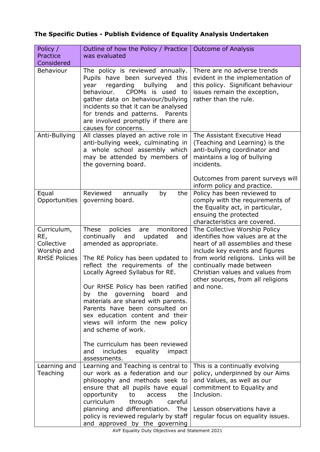### **The Specific Duties - Publish Evidence of Equality Analysis Undertaken**

| Policy /<br>Practice<br>Considered                                      | Outline of how the Policy / Practice  <br>was evaluated                                                                                                                                                                                                                                                                                                                                                                                                                                                                                                                   | <b>Outcome of Analysis</b>                                                                                                                                                                                                                                                                        |
|-------------------------------------------------------------------------|---------------------------------------------------------------------------------------------------------------------------------------------------------------------------------------------------------------------------------------------------------------------------------------------------------------------------------------------------------------------------------------------------------------------------------------------------------------------------------------------------------------------------------------------------------------------------|---------------------------------------------------------------------------------------------------------------------------------------------------------------------------------------------------------------------------------------------------------------------------------------------------|
| Behaviour                                                               | The policy is reviewed annually.<br>Pupils have been surveyed<br>this<br>regarding<br>bullying<br>year<br>and<br>behaviour.<br>CPOMs is used to<br>gather data on behaviour/bullying<br>incidents so that it can be analysed<br>for trends and patterns.<br>Parents<br>are involved promptly if there are<br>causes for concerns.                                                                                                                                                                                                                                         | There are no adverse trends<br>evident in the implementation of<br>this policy. Significant behaviour<br>issues remain the exception,<br>rather than the rule.                                                                                                                                    |
| Anti-Bullying                                                           | All classes played an active role in<br>anti-bullying week, culminating in<br>a whole school assembly which<br>may be attended by members of<br>the governing board.                                                                                                                                                                                                                                                                                                                                                                                                      | The Assistant Executive Head<br>(Teaching and Learning) is the<br>anti-bullying coordinator and<br>maintains a log of bullying<br>incidents.                                                                                                                                                      |
|                                                                         |                                                                                                                                                                                                                                                                                                                                                                                                                                                                                                                                                                           | Outcomes from parent surveys will<br>inform policy and practice.                                                                                                                                                                                                                                  |
| Equal<br>Opportunities                                                  | Reviewed<br>annually<br>by<br>the<br>governing board.                                                                                                                                                                                                                                                                                                                                                                                                                                                                                                                     | Policy has been reviewed to<br>comply with the requirements of<br>the Equality act, in particular,<br>ensuing the protected<br>characteristics are covered.                                                                                                                                       |
| Curriculum,<br>RE,<br>Collective<br>Worship and<br><b>RHSE Policies</b> | <b>These</b><br>policies<br>monitored<br>are<br>continually and<br>updated<br>and<br>amended as appropriate.<br>The RE Policy has been updated to<br>reflect the requirements of the<br>Locally Agreed Syllabus for RE.<br>Our RHSE Policy has been ratified<br>the<br>governing<br>board<br>and<br>by<br>materials are shared with parents.<br>Parents have been consulted on<br>sex education content and their<br>views will inform the new policy<br>and scheme of work.<br>The curriculum has been reviewed<br>and<br>includes<br>equality<br>impact<br>assessments. | The Collective Worship Policy<br>identifies how values are at the<br>heart of all assemblies and these<br>include key events and figures<br>from world religions. Links will be<br>continually made between<br>Christian values and values from<br>other sources, from all religions<br>and none. |
| Learning and<br>Teaching                                                | Learning and Teaching is central to<br>our work as a federation and our<br>philosophy and methods seek to<br>ensure that all pupils have equal<br>opportunity<br>the<br>to<br>access<br>curriculum<br>careful<br>through<br>planning and differentiation.<br>The<br>policy is reviewed regularly by staff<br>and approved by the governing                                                                                                                                                                                                                                | This is a continually evolving<br>policy, underpinned by our Aims<br>and Values, as well as our<br>commitment to Equality and<br>Inclusion.<br>Lesson observations have a<br>regular focus on equality issues.                                                                                    |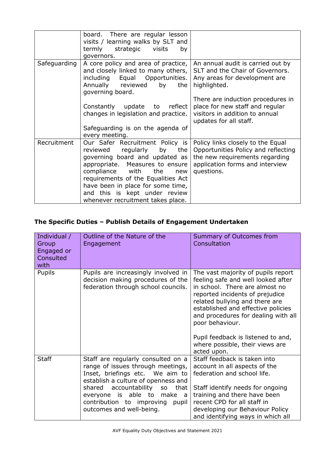|              | board. There are regular lesson<br>visits / learning walks by SLT and<br>termly strategic visits<br>by<br>governors.                                                                                                                                                                                                                     |                                                                                                                                                             |
|--------------|------------------------------------------------------------------------------------------------------------------------------------------------------------------------------------------------------------------------------------------------------------------------------------------------------------------------------------------|-------------------------------------------------------------------------------------------------------------------------------------------------------------|
| Safeguarding | A core policy and area of practice,  <br>and closely linked to many others,  <br>Equal Opportunities.<br>including<br>Annually reviewed by<br>the<br>governing board.                                                                                                                                                                    | An annual audit is carried out by<br>SLT and the Chair of Governors.<br>Any areas for development are<br>highlighted.                                       |
|              | Constantly update to reflect<br>changes in legislation and practice.<br>Safeguarding is on the agenda of                                                                                                                                                                                                                                 | There are induction procedures in<br>place for new staff and regular<br>visitors in addition to annual<br>updates for all staff.                            |
| Recruitment  | every meeting.<br>Our Safer Recruitment Policy is<br>regularly by<br>reviewed<br>the<br>governing board and updated as<br>appropriate. Measures to ensure<br>compliance with the<br>new<br>requirements of the Equalities Act<br>have been in place for some time,<br>and this is kept under review<br>whenever recruitment takes place. | Policy links closely to the Equal<br>Opportunities Policy and reflecting<br>the new requirements regarding<br>application forms and interview<br>questions. |

## **The Specific Duties – Publish Details of Engagement Undertaken**

| Individual /<br>Group<br>Engaged or<br>Consulted<br>with | Outline of the Nature of the<br>Engagement                                                                                                                                                                                                                                                            | Summary of Outcomes from<br>Consultation                                                                                                                                                                                                                                                                                                                 |
|----------------------------------------------------------|-------------------------------------------------------------------------------------------------------------------------------------------------------------------------------------------------------------------------------------------------------------------------------------------------------|----------------------------------------------------------------------------------------------------------------------------------------------------------------------------------------------------------------------------------------------------------------------------------------------------------------------------------------------------------|
| <b>Pupils</b>                                            | Pupils are increasingly involved in<br>decision making procedures of the<br>federation through school councils.                                                                                                                                                                                       | The vast majority of pupils report<br>feeling safe and well looked after<br>in school. There are almost no<br>reported incidents of prejudice<br>related bullying and there are<br>established and effective policies<br>and procedures for dealing with all<br>poor behaviour.<br>Pupil feedback is listened to and,<br>where possible, their views are |
| <b>Staff</b>                                             | Staff are regularly consulted on a<br>range of issues through meetings,<br>Inset, briefings etc. We aim to<br>establish a culture of openness and<br>accountability<br>shared<br>that<br><b>SO</b><br>everyone is able to<br>make a<br>contribution to improving<br>pupil<br>outcomes and well-being. | acted upon.<br>Staff feedback is taken into<br>account in all aspects of the<br>federation and school life.<br>Staff identify needs for ongoing<br>training and there have been<br>recent CPD for all staff in<br>developing our Behaviour Policy<br>and identifying ways in which all                                                                   |